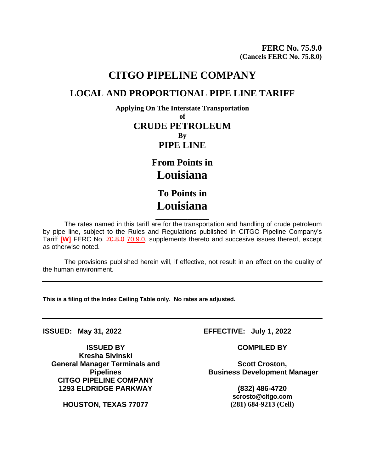## **CITGO PIPELINE COMPANY LOCAL AND PROPORTIONAL PIPE LINE TARIFF**

**Applying On The Interstate Transportation of CRUDE PETROLEUM By PIPE LINE**

> **From Points in Louisiana To Points in**

**Louisiana**

**\_\_\_\_\_\_\_\_\_\_\_\_\_\_\_** The rates named in this tariff are for the transportation and handling of crude petroleum by pipe line, subject to the Rules and Regulations published in CITGO Pipeline Company's Tariff [W] FERC No. 70.8.0 70.9.0, supplements thereto and succesive issues thereof, except as otherwise noted.

The provisions published herein will, if effective, not result in an effect on the quality of the human environment.

**This is a filing of the Index Ceiling Table only. No rates are adjusted.**

**ISSUED BY COMPILED BY Kresha Sivinski General Manager Terminals and Pipelines CITGO PIPELINE COMPANY 1293 ELDRIDGE PARKWAY (832) 486-4720**

**HOUSTON, TEXAS 77077 (281) 684-9213 (Cell)**

**ISSUED: May 31, 2022 EFFECTIVE: July 1, 2022**

**Scott Croston, Business Development Manager**

**scrosto@citgo.com**